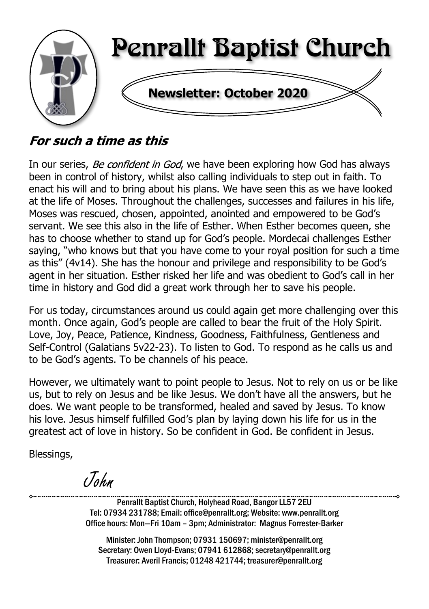

## For such a time as this

In our series, Be confident in God, we have been exploring how God has always been in control of history, whilst also calling individuals to step out in faith. To enact his will and to bring about his plans. We have seen this as we have looked at the life of Moses. Throughout the challenges, successes and failures in his life, Moses was rescued, chosen, appointed, anointed and empowered to be God's servant. We see this also in the life of Esther. When Esther becomes queen, she has to choose whether to stand up for God's people. Mordecai challenges Esther saying, "who knows but that you have come to your royal position for such a time as this" (4v14). She has the honour and privilege and responsibility to be God's agent in her situation. Esther risked her life and was obedient to God's call in her time in history and God did a great work through her to save his people.

For us today, circumstances around us could again get more challenging over this month. Once again, God's people are called to bear the fruit of the Holy Spirit. Love, Joy, Peace, Patience, Kindness, Goodness, Faithfulness, Gentleness and Self-Control (Galatians 5v22-23). To listen to God. To respond as he calls us and to be God's agents. To be channels of his peace.

However, we ultimately want to point people to Jesus. Not to rely on us or be like us, but to rely on Jesus and be like Jesus. We don't have all the answers, but he does. We want people to be transformed, healed and saved by Jesus. To know his love. Jesus himself fulfilled God's plan by laying down his life for us in the greatest act of love in history. So be confident in God. Be confident in Jesus.

Blessings,

John

Penrallt Baptist Church, Holyhead Road, Bangor LL57 2EU Tel: 07934 231788; Email: office@penrallt.org; Website: www.penrallt.org Office hours: Mon—Fri 10am – 3pm; Administrator: Magnus Forrester-Barker

Minister: John Thompson; 07931 150697; minister@penrallt.org Secretary: Owen Lloyd-Evans; 07941 612868; secretary@penrallt.org Treasurer: Averil Francis; 01248 421744; treasurer@penrallt.org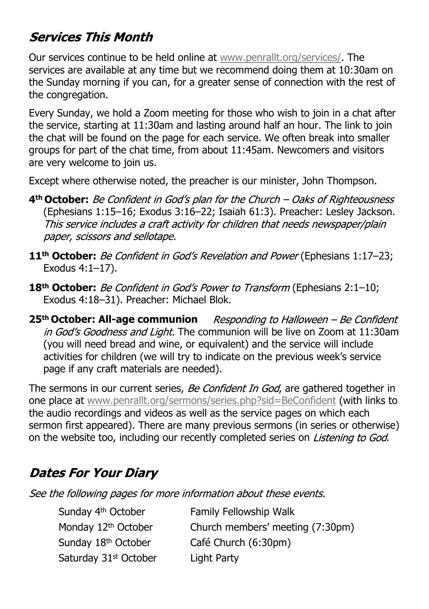## **Services This Month**

Our services continue to be held online at [www.penrallt.org/services/.](https://www.penrallt.org/services/index.php) The services are available at any time but we recommend doing them at 10:30am on the Sunday morning if you can, for a greater sense of connection with the rest of the congregation.

Every Sunday, we hold a Zoom meeting for those who wish to join in a chat after the service, starting at 11:30am and lasting around half an hour. The link to join the chat will be found on the page for each service. We often break into smaller groups for part of the chat time, from about 11:45am. Newcomers and visitors are very welcome to join us.

Except where otherwise noted, the preacher is our minister, John Thompson.

- **4th October:** (Ephesians 1:15–16; Exodus 3:16–22; Isaiah 61:3). Preacher: Lesley Jackson.<br>This service includes a craft activity for children that needs newspaper/plain paper, scissors and sellotape.
- **11<sup>th</sup> October:** Be Confident in God's Revelation and Power (Ephesians 1:17–23; Exodus 4:1–17).
- 18<sup>th</sup> October: *Be Confident in God's Power to Transform* (Ephesians 2:1-10; Exodus 4:18–31). Preacher: Michael Blok.
- **25th October: All-age communion** Responding to Halloween - Be Confident in God's Goodness and Light. The communion will be live on Zoom at 11:30am (you will need bread and wine, or equivalent) and the service will include activities for children (we will try to indicate on the previous week's service page if any craft materials are needed).

The sermons in our current series, Be Confident In God, are gathered together in one place at [www.penrallt.org/sermons/series.php?sid=BeConfident](https://www.penrallt.org/sermons/series.php?sid=BeConfident) (with links to the audio recordings and videos as well as the service pages on which each sermon first appeared). There are many previous sermons (in series or otherwise) on the website too, including our recently completed series on *Listening to God*,

#### **Dates For Your Diary**

See the following pages for more information about these events.

Sunday 4th October Family Fellowship Walk Sunday 18th October Café Church (6:30pm) Saturday 31<sup>st</sup> October Light Party

Monday 12<sup>th</sup> October Church members' meeting (7:30pm)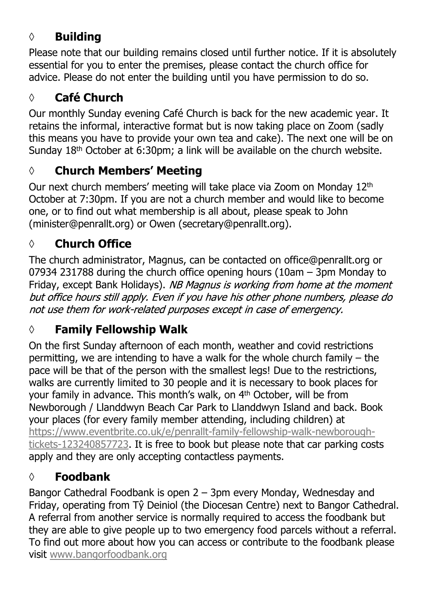## **◊ Building**

Please note that our building remains closed until further notice. If it is absolutely essential for you to enter the premises, please contact the church office for advice. Please do not enter the building until you have permission to do so.

## **◊ Café Church**

Our monthly Sunday evening Café Church is back for the new academic year. It retains the informal, interactive format but is now taking place on Zoom (sadly this means you have to provide your own tea and cake). The next one will be on Sunday 18<sup>th</sup> October at 6:30pm; a link will be available on the church website.

## **◊ Church Members' Meeting**

Our next church members' meeting will take place via Zoom on Monday 12th October at 7:30pm. If you are not a church member and would like to become one, or to find out what membership is all about, please speak to John (minister@penrallt.org) or Owen (secretary@penrallt.org).

## **◊ Church Office**

The church administrator, Magnus, can be contacted on office@penrallt.org or 07934 231788 during the church office opening hours (10am – 3pm Monday to Friday, except Bank Holidays). NB Magnus is working from home at the moment but office hours still apply. Even if you have his other phone numbers, please do not use them for work-related purposes except in case of emergency.

## **◊ Family Fellowship Walk**

On the first Sunday afternoon of each month, weather and covid restrictions permitting, we are intending to have a walk for the whole church family – the pace will be that of the person with the smallest legs! Due to the restrictions, walks are currently limited to 30 people and it is necessary to book places for your family in advance. This month's walk, on 4th October, will be from Newborough / Llanddwyn Beach Car Park to Llanddwyn Island and back. Book your places (for every family member attending, including children) at [https://www.eventbrite.co.uk/e/penrallt-family-fellowship-walk-newborough](https://www.eventbrite.co.uk/e/penrallt-family-fellowship-walk-newborough-tickets-123240857723)[tickets-123240857723.](https://www.eventbrite.co.uk/e/penrallt-family-fellowship-walk-newborough-tickets-123240857723) It is free to book but please note that car parking costs apply and they are only accepting contactless payments.

#### **◊ Foodbank**

Bangor Cathedral Foodbank is open 2 – 3pm every Monday, Wednesday and Friday, operating from Tŷ Deiniol (the Diocesan Centre) next to Bangor Cathedral. A referral from another service is normally required to access the foodbank but they are able to give people up to two emergency food parcels without a referral. To find out more about how you can access or contribute to the foodbank please visit [www.bangorfoodbank.org](https://www.bangorfoodbank.org)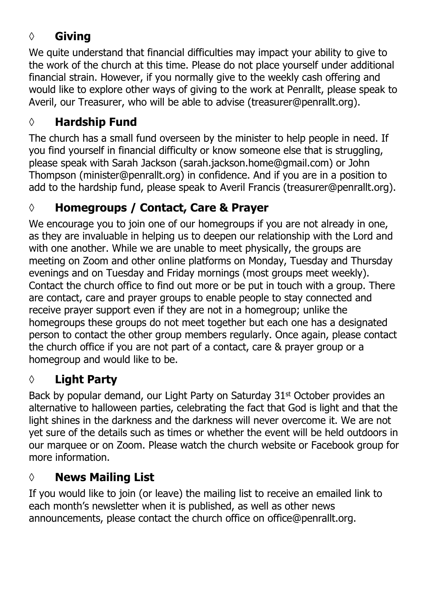#### **◊ Giving**

We quite understand that financial difficulties may impact your ability to give to the work of the church at this time. Please do not place yourself under additional financial strain. However, if you normally give to the weekly cash offering and would like to explore other ways of giving to the work at Penrallt, please speak to Averil, our Treasurer, who will be able to advise (treasurer@penrallt.org).

#### **◊ Hardship Fund**

The church has a small fund overseen by the minister to help people in need. If you find yourself in financial difficulty or know someone else that is struggling, please speak with Sarah Jackson (sarah.jackson.home@gmail.com) or John Thompson (minister@penrallt.org) in confidence. And if you are in a position to add to the hardship fund, please speak to Averil Francis (treasurer@penrallt.org).

## **◊ Homegroups / Contact, Care & Prayer**

We encourage you to join one of our homegroups if you are not already in one, as they are invaluable in helping us to deepen our relationship with the Lord and with one another. While we are unable to meet physically, the groups are meeting on Zoom and other online platforms on Monday, Tuesday and Thursday evenings and on Tuesday and Friday mornings (most groups meet weekly). Contact the church office to find out more or be put in touch with a group. There are contact, care and prayer groups to enable people to stay connected and receive prayer support even if they are not in a homegroup; unlike the homegroups these groups do not meet together but each one has a designated person to contact the other group members regularly. Once again, please contact the church office if you are not part of a contact, care & prayer group or a homegroup and would like to be.

#### **◊ Light Party**

Back by popular demand, our Light Party on Saturday 31<sup>st</sup> October provides an alternative to halloween parties, celebrating the fact that God is light and that the light shines in the darkness and the darkness will never overcome it. We are not yet sure of the details such as times or whether the event will be held outdoors in our marquee or on Zoom. Please watch the church website or Facebook group for more information.

#### **◊ News Mailing List**

If you would like to join (or leave) the mailing list to receive an emailed link to each month's newsletter when it is published, as well as other news announcements, please contact the church office on office@penrallt.org.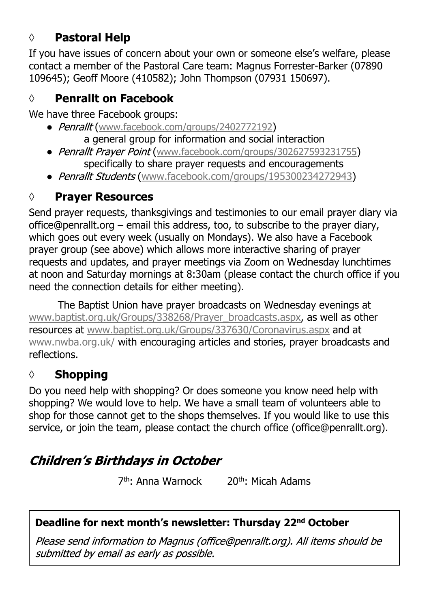#### **◊ Pastoral Help**

If you have issues of concern about your own or someone else's welfare, please contact a member of the Pastoral Care team: Magnus Forrester-Barker (07890 109645); Geoff Moore (410582); John Thompson (07931 150697).

#### **◊ Penrallt on Facebook**

We have three Facebook groups:

- Penrallt ([www.facebook.com/groups/2402772192](https://www.facebook.com/groups/2402772192)) a general group for information and social interaction
- Penrallt Praver Point ([www.facebook.com/groups/302627593231755](https://www.facebook.com/groups/302627593231755)) specifically to share prayer requests and encouragements
- Penrallt Students ([www.facebook.com/groups/195300234272943\)](https://www.facebook.com/groups/195300234272943)

## **◊ Prayer Resources**

Send prayer requests, thanksgivings and testimonies to our email prayer diary via office@penrallt.org – email this address, too, to subscribe to the prayer diary, which goes out every week (usually on Mondays). We also have a Facebook prayer group (see above) which allows more interactive sharing of prayer requests and updates, and prayer meetings via Zoom on Wednesday lunchtimes at noon and Saturday mornings at 8:30am (please contact the church office if you need the connection details for either meeting).

The Baptist Union have prayer broadcasts on Wednesday evenings at [www.baptist.org.uk/Groups/338268/Prayer\\_broadcasts.aspx](https://www.baptist.org.uk/Groups/338268/Prayer_broadcasts.aspx), as well as other resources at [www.baptist.org.uk/Groups/337630/Coronavirus.aspx](https://www.baptist.org.uk/Groups/337630/Coronavirus.aspx) and at [www.nwba.org.uk/](http://www.nwba.org.uk/) with encouraging articles and stories, prayer broadcasts and reflections.

#### **◊ Shopping**

Do you need help with shopping? Or does someone you know need help with shopping? We would love to help. We have a small team of volunteers able to shop for those cannot get to the shops themselves. If you would like to use this service, or join the team, please contact the church office (office@penrallt.org).

## **Children's Birthdays in October**

7<sup>th</sup>: Anna Warnock 20th: Micah Adams

#### **Deadline for next month's newsletter: Thursday 22nd October**

Please send information to Magnus (office@penrallt.org). All items should be submitted by email as early as possible.